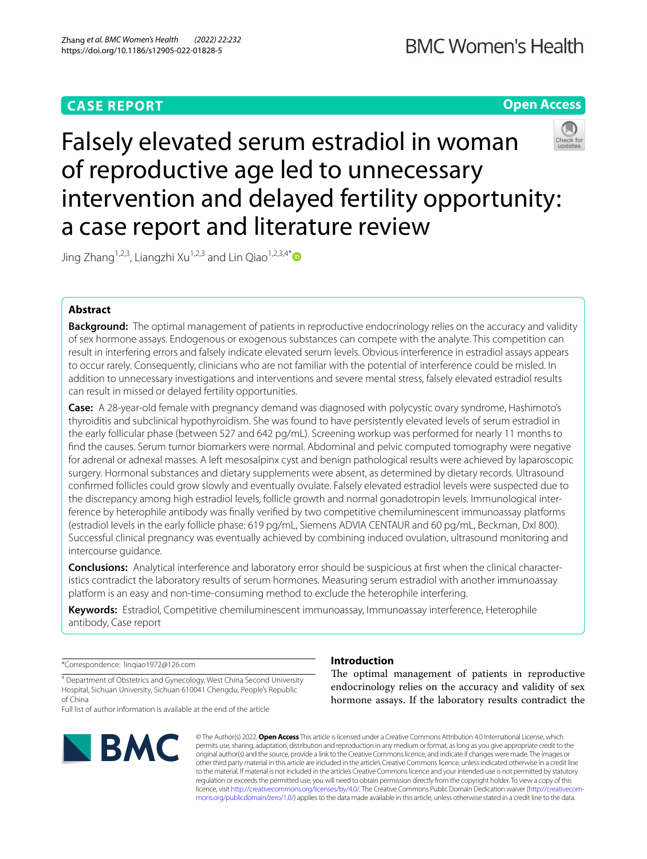# **Open Access**



# Falsely elevated serum estradiol in woman of reproductive age led to unnecessary intervention and delayed fertility opportunity: a case report and literature review

Jing Zhang<sup>1,2,3</sup>, Liangzhi Xu<sup>1,2,3</sup> and Lin Qiao<sup>1,2,3,4\*</sup>

# **Abstract**

**Background:** The optimal management of patients in reproductive endocrinology relies on the accuracy and validity of sex hormone assays. Endogenous or exogenous substances can compete with the analyte. This competition can result in interfering errors and falsely indicate elevated serum levels. Obvious interference in estradiol assays appears to occur rarely. Consequently, clinicians who are not familiar with the potential of interference could be misled. In addition to unnecessary investigations and interventions and severe mental stress, falsely elevated estradiol results can result in missed or delayed fertility opportunities.

**Case:** A 28-year-old female with pregnancy demand was diagnosed with polycystic ovary syndrome, Hashimoto's thyroiditis and subclinical hypothyroidism. She was found to have persistently elevated levels of serum estradiol in the early follicular phase (between 527 and 642 pg/mL). Screening workup was performed for nearly 11 months to fnd the causes. Serum tumor biomarkers were normal. Abdominal and pelvic computed tomography were negative for adrenal or adnexal masses. A left mesosalpinx cyst and benign pathological results were achieved by laparoscopic surgery. Hormonal substances and dietary supplements were absent, as determined by dietary records. Ultrasound confrmed follicles could grow slowly and eventually ovulate. Falsely elevated estradiol levels were suspected due to the discrepancy among high estradiol levels, follicle growth and normal gonadotropin levels. Immunological interference by heterophile antibody was fnally verifed by two competitive chemiluminescent immunoassay platforms (estradiol levels in the early follicle phase: 619 pg/mL, Siemens ADVIA CENTAUR and 60 pg/mL, Beckman, DxI 800). Successful clinical pregnancy was eventually achieved by combining induced ovulation, ultrasound monitoring and intercourse guidance.

**Conclusions:** Analytical interference and laboratory error should be suspicious at frst when the clinical characteristics contradict the laboratory results of serum hormones. Measuring serum estradiol with another immunoassay platform is an easy and non-time-consuming method to exclude the heterophile interfering.

**Keywords:** Estradiol, Competitive chemiluminescent immunoassay, Immunoassay interference, Heterophile antibody, Case report

\*Correspondence: linqiao1972@126.com

<sup>4</sup> Department of Obstetrics and Gynecology, West China Second University Hospital, Sichuan University, Sichuan 610041 Chengdu, People's Republic of China

Full list of author information is available at the end of the article



# **Introduction**

The optimal management of patients in reproductive endocrinology relies on the accuracy and validity of sex hormone assays. If the laboratory results contradict the

© The Author(s) 2022. **Open Access** This article is licensed under a Creative Commons Attribution 4.0 International License, which permits use, sharing, adaptation, distribution and reproduction in any medium or format, as long as you give appropriate credit to the original author(s) and the source, provide a link to the Creative Commons licence, and indicate if changes were made. The images or other third party material in this article are included in the article's Creative Commons licence, unless indicated otherwise in a credit line to the material. If material is not included in the article's Creative Commons licence and your intended use is not permitted by statutory regulation or exceeds the permitted use, you will need to obtain permission directly from the copyright holder. To view a copy of this licence, visit [http://creativecommons.org/licenses/by/4.0/.](http://creativecommons.org/licenses/by/4.0/) The Creative Commons Public Domain Dedication waiver ([http://creativecom](http://creativecommons.org/publicdomain/zero/1.0/)[mons.org/publicdomain/zero/1.0/\)](http://creativecommons.org/publicdomain/zero/1.0/) applies to the data made available in this article, unless otherwise stated in a credit line to the data.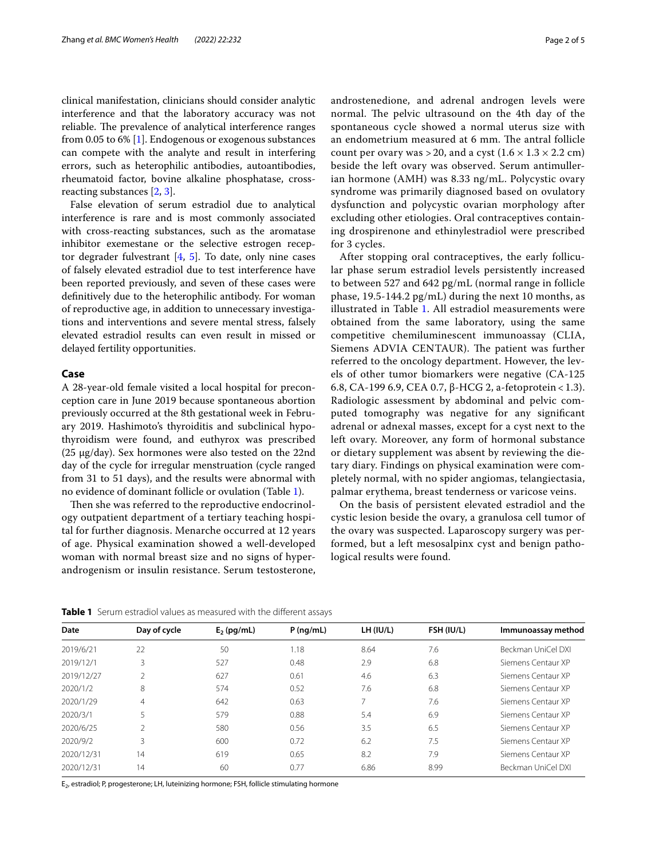clinical manifestation, clinicians should consider analytic interference and that the laboratory accuracy was not reliable. The prevalence of analytical interference ranges from 0.05 to 6% [\[1](#page-3-0)]. Endogenous or exogenous substances can compete with the analyte and result in interfering errors, such as heterophilic antibodies, autoantibodies, rheumatoid factor, bovine alkaline phosphatase, crossreacting substances [[2,](#page-3-1) [3](#page-3-2)].

False elevation of serum estradiol due to analytical interference is rare and is most commonly associated with cross-reacting substances, such as the aromatase inhibitor exemestane or the selective estrogen receptor degrader fulvestrant  $[4, 5]$  $[4, 5]$  $[4, 5]$  $[4, 5]$ . To date, only nine cases of falsely elevated estradiol due to test interference have been reported previously, and seven of these cases were defnitively due to the heterophilic antibody. For woman of reproductive age, in addition to unnecessary investigations and interventions and severe mental stress, falsely elevated estradiol results can even result in missed or delayed fertility opportunities.

## **Case**

A 28-year-old female visited a local hospital for preconception care in June 2019 because spontaneous abortion previously occurred at the 8th gestational week in February 2019. Hashimoto's thyroiditis and subclinical hypothyroidism were found, and euthyrox was prescribed (25 µg/day). Sex hormones were also tested on the 22nd day of the cycle for irregular menstruation (cycle ranged from 31 to 51 days), and the results were abnormal with no evidence of dominant follicle or ovulation (Table [1\)](#page-1-0).

Then she was referred to the reproductive endocrinology outpatient department of a tertiary teaching hospital for further diagnosis. Menarche occurred at 12 years of age. Physical examination showed a well-developed woman with normal breast size and no signs of hyperandrogenism or insulin resistance. Serum testosterone, androstenedione, and adrenal androgen levels were normal. The pelvic ultrasound on the 4th day of the spontaneous cycle showed a normal uterus size with an endometrium measured at 6 mm. The antral follicle count per ovary was > 20, and a cyst  $(1.6 \times 1.3 \times 2.2 \text{ cm})$ beside the left ovary was observed. Serum antimullerian hormone (AMH) was 8.33 ng/mL. Polycystic ovary syndrome was primarily diagnosed based on ovulatory dysfunction and polycystic ovarian morphology after excluding other etiologies. Oral contraceptives containing drospirenone and ethinylestradiol were prescribed for 3 cycles.

After stopping oral contraceptives, the early follicular phase serum estradiol levels persistently increased to between 527 and 642 pg/mL (normal range in follicle phase, 19.5-144.2 pg/mL) during the next 10 months, as illustrated in Table [1](#page-1-0). All estradiol measurements were obtained from the same laboratory, using the same competitive chemiluminescent immunoassay (CLIA, Siemens ADVIA CENTAUR). The patient was further referred to the oncology department. However, the levels of other tumor biomarkers were negative (CA-125 6.8, CA-199 6.9, CEA 0.7, β-HCG 2, a-fetoprotein < 1.3). Radiologic assessment by abdominal and pelvic computed tomography was negative for any signifcant adrenal or adnexal masses, except for a cyst next to the left ovary. Moreover, any form of hormonal substance or dietary supplement was absent by reviewing the dietary diary. Findings on physical examination were completely normal, with no spider angiomas, telangiectasia, palmar erythema, breast tenderness or varicose veins.

On the basis of persistent elevated estradiol and the cystic lesion beside the ovary, a granulosa cell tumor of the ovary was suspected. Laparoscopy surgery was performed, but a left mesosalpinx cyst and benign pathological results were found.

<span id="page-1-0"></span>**Table 1** Serum estradiol values as measured with the different assays

| Date       | Day of cycle   | $E2$ (pg/mL) | $P$ (ng/mL) | LH (IU/L) | <b>FSH (IU/L)</b> | Immunoassay method |
|------------|----------------|--------------|-------------|-----------|-------------------|--------------------|
| 2019/6/21  | 22             | 50           | 1.18        | 8.64      | 7.6               | Beckman UniCel DXI |
| 2019/12/1  | 3              | 527          | 0.48        | 2.9       | 6.8               | Siemens Centaur XP |
| 2019/12/27 |                | 627          | 0.61        | 4.6       | 6.3               | Siemens Centaur XP |
| 2020/1/2   | 8              | 574          | 0.52        | 7.6       | 6.8               | Siemens Centaur XP |
| 2020/1/29  | $\overline{4}$ | 642          | 0.63        |           | 7.6               | Siemens Centaur XP |
| 2020/3/1   | 5              | 579          | 0.88        | 5.4       | 6.9               | Siemens Centaur XP |
| 2020/6/25  |                | 580          | 0.56        | 3.5       | 6.5               | Siemens Centaur XP |
| 2020/9/2   | 3              | 600          | 0.72        | 6.2       | 7.5               | Siemens Centaur XP |
| 2020/12/31 | 14             | 619          | 0.65        | 8.2       | 7.9               | Siemens Centaur XP |
| 2020/12/31 | 14             | 60           | 0.77        | 6.86      | 8.99              | Beckman UniCel DXI |

E<sub>2</sub>, estradiol; P, progesterone; LH, luteinizing hormone; FSH, follicle stimulating hormone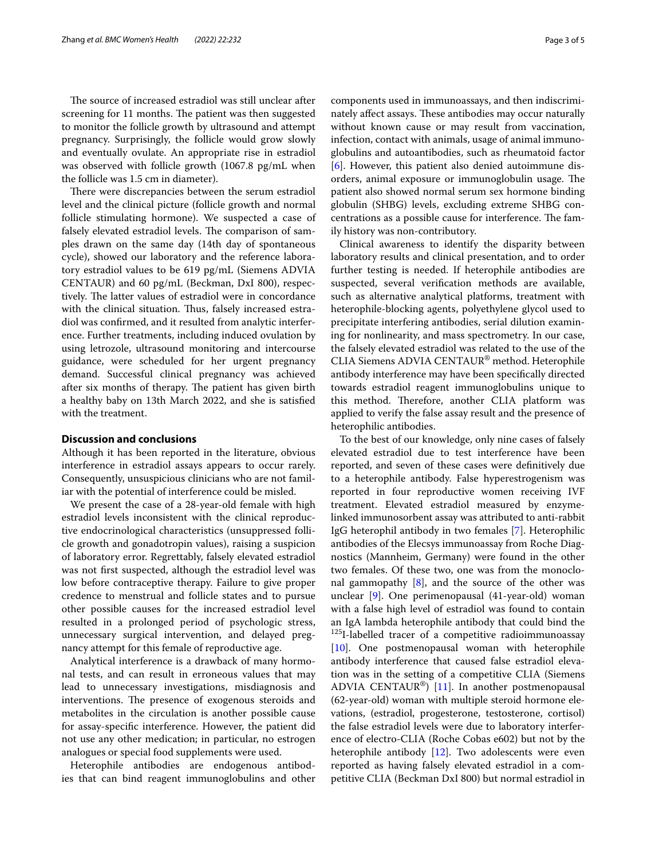The source of increased estradiol was still unclear after screening for 11 months. The patient was then suggested to monitor the follicle growth by ultrasound and attempt pregnancy. Surprisingly, the follicle would grow slowly and eventually ovulate. An appropriate rise in estradiol was observed with follicle growth (1067.8 pg/mL when the follicle was 1.5 cm in diameter).

There were discrepancies between the serum estradiol level and the clinical picture (follicle growth and normal follicle stimulating hormone). We suspected a case of falsely elevated estradiol levels. The comparison of samples drawn on the same day (14th day of spontaneous cycle), showed our laboratory and the reference laboratory estradiol values to be 619 pg/mL (Siemens ADVIA CENTAUR) and 60 pg/mL (Beckman, DxI 800), respectively. The latter values of estradiol were in concordance with the clinical situation. Thus, falsely increased estradiol was confrmed, and it resulted from analytic interference. Further treatments, including induced ovulation by using letrozole, ultrasound monitoring and intercourse guidance, were scheduled for her urgent pregnancy demand. Successful clinical pregnancy was achieved after six months of therapy. The patient has given birth a healthy baby on 13th March 2022, and she is satisfed with the treatment.

# **Discussion and conclusions**

Although it has been reported in the literature, obvious interference in estradiol assays appears to occur rarely. Consequently, unsuspicious clinicians who are not familiar with the potential of interference could be misled.

We present the case of a 28-year-old female with high estradiol levels inconsistent with the clinical reproductive endocrinological characteristics (unsuppressed follicle growth and gonadotropin values), raising a suspicion of laboratory error. Regrettably, falsely elevated estradiol was not frst suspected, although the estradiol level was low before contraceptive therapy. Failure to give proper credence to menstrual and follicle states and to pursue other possible causes for the increased estradiol level resulted in a prolonged period of psychologic stress, unnecessary surgical intervention, and delayed pregnancy attempt for this female of reproductive age.

Analytical interference is a drawback of many hormonal tests, and can result in erroneous values that may lead to unnecessary investigations, misdiagnosis and interventions. The presence of exogenous steroids and metabolites in the circulation is another possible cause for assay-specifc interference. However, the patient did not use any other medication; in particular, no estrogen analogues or special food supplements were used.

Heterophile antibodies are endogenous antibodies that can bind reagent immunoglobulins and other components used in immunoassays, and then indiscriminately affect assays. These antibodies may occur naturally without known cause or may result from vaccination, infection, contact with animals, usage of animal immunoglobulins and autoantibodies, such as rheumatoid factor [[6\]](#page-3-5). However, this patient also denied autoimmune disorders, animal exposure or immunoglobulin usage. The patient also showed normal serum sex hormone binding globulin (SHBG) levels, excluding extreme SHBG concentrations as a possible cause for interference. The family history was non-contributory.

Clinical awareness to identify the disparity between laboratory results and clinical presentation, and to order further testing is needed. If heterophile antibodies are suspected, several verifcation methods are available, such as alternative analytical platforms, treatment with heterophile-blocking agents, polyethylene glycol used to precipitate interfering antibodies, serial dilution examining for nonlinearity, and mass spectrometry. In our case, the falsely elevated estradiol was related to the use of the CLIA Siemens ADVIA CENTAUR® method. Heterophile antibody interference may have been specifcally directed towards estradiol reagent immunoglobulins unique to this method. Therefore, another CLIA platform was applied to verify the false assay result and the presence of heterophilic antibodies.

To the best of our knowledge, only nine cases of falsely elevated estradiol due to test interference have been reported, and seven of these cases were defnitively due to a heterophile antibody. False hyperestrogenism was reported in four reproductive women receiving IVF treatment. Elevated estradiol measured by enzymelinked immunosorbent assay was attributed to anti-rabbit IgG heterophil antibody in two females [[7\]](#page-3-6). Heterophilic antibodies of the Elecsys immunoassay from Roche Diagnostics (Mannheim, Germany) were found in the other two females. Of these two, one was from the monoclonal gammopathy  $[8]$  $[8]$ , and the source of the other was unclear [\[9\]](#page-3-8). One perimenopausal (41-year-old) woman with a false high level of estradiol was found to contain an IgA lambda heterophile antibody that could bind the <sup>125</sup>I-labelled tracer of a competitive radioimmunoassay [[10\]](#page-4-0). One postmenopausal woman with heterophile antibody interference that caused false estradiol elevation was in the setting of a competitive CLIA (Siemens ADVIA CENTAUR®) [[11\]](#page-4-1). In another postmenopausal (62-year-old) woman with multiple steroid hormone elevations, (estradiol, progesterone, testosterone, cortisol) the false estradiol levels were due to laboratory interference of electro-CLIA (Roche Cobas e602) but not by the heterophile antibody  $[12]$  $[12]$ . Two adolescents were even reported as having falsely elevated estradiol in a competitive CLIA (Beckman DxI 800) but normal estradiol in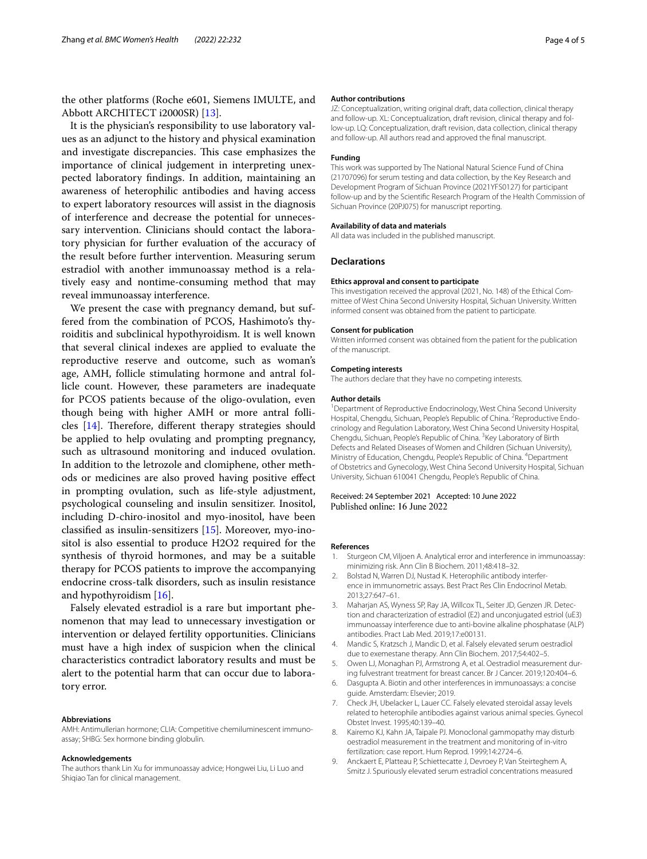the other platforms (Roche e601, Siemens IMULTE, and Abbott ARCHITECT i2000SR) [[13\]](#page-4-3).

It is the physician's responsibility to use laboratory values as an adjunct to the history and physical examination and investigate discrepancies. This case emphasizes the importance of clinical judgement in interpreting unexpected laboratory fndings. In addition, maintaining an awareness of heterophilic antibodies and having access to expert laboratory resources will assist in the diagnosis of interference and decrease the potential for unnecessary intervention. Clinicians should contact the laboratory physician for further evaluation of the accuracy of the result before further intervention. Measuring serum estradiol with another immunoassay method is a relatively easy and nontime-consuming method that may reveal immunoassay interference.

We present the case with pregnancy demand, but suffered from the combination of PCOS, Hashimoto's thyroiditis and subclinical hypothyroidism. It is well known that several clinical indexes are applied to evaluate the reproductive reserve and outcome, such as woman's age, AMH, follicle stimulating hormone and antral follicle count. However, these parameters are inadequate for PCOS patients because of the oligo-ovulation, even though being with higher AMH or more antral follicles  $[14]$  $[14]$  $[14]$ . Therefore, different therapy strategies should be applied to help ovulating and prompting pregnancy, such as ultrasound monitoring and induced ovulation. In addition to the letrozole and clomiphene, other methods or medicines are also proved having positive efect in prompting ovulation, such as life-style adjustment, psychological counseling and insulin sensitizer. Inositol, including D-chiro-inositol and myo-inositol, have been classifed as insulin-sensitizers [[15\]](#page-4-5). Moreover, myo-inositol is also essential to produce H2O2 required for the synthesis of thyroid hormones, and may be a suitable therapy for PCOS patients to improve the accompanying endocrine cross-talk disorders, such as insulin resistance and hypothyroidism [[16\]](#page-4-6).

Falsely elevated estradiol is a rare but important phenomenon that may lead to unnecessary investigation or intervention or delayed fertility opportunities. Clinicians must have a high index of suspicion when the clinical characteristics contradict laboratory results and must be alert to the potential harm that can occur due to laboratory error.

#### **Abbreviations**

AMH: Antimullerian hormone; CLIA: Competitive chemiluminescent immunoassay; SHBG: Sex hormone binding globulin.

#### **Acknowledgements**

The authors thank Lin Xu for immunoassay advice; Hongwei Liu, Li Luo and Shiqiao Tan for clinical management.

#### **Author contributions**

JZ: Conceptualization, writing original draft, data collection, clinical therapy and follow-up. XL: Conceptualization, draft revision, clinical therapy and follow-up. LQ: Conceptualization, draft revision, data collection, clinical therapy and follow-up. All authors read and approved the fnal manuscript.

#### **Funding**

This work was supported by The National Natural Science Fund of China (21707096) for serum testing and data collection, by the Key Research and Development Program of Sichuan Province (2021YFS0127) for participant follow-up and by the Scientifc Research Program of the Health Commission of Sichuan Province (20PJ075) for manuscript reporting.

#### **Availability of data and materials**

All data was included in the published manuscript.

## **Declarations**

#### **Ethics approval and consent to participate**

This investigation received the approval (2021, No. 148) of the Ethical Committee of West China Second University Hospital, Sichuan University. Written informed consent was obtained from the patient to participate.

#### **Consent for publication**

Written informed consent was obtained from the patient for the publication of the manuscript.

### **Competing interests**

The authors declare that they have no competing interests.

#### **Author details**

<sup>1</sup> Department of Reproductive Endocrinology, West China Second University Hospital, Chengdu, Sichuan, People's Republic of China. <sup>2</sup> Reproductive Endocrinology and Regulation Laboratory, West China Second University Hospital, Chengdu, Sichuan, People's Republic of China. <sup>3</sup> Key Laboratory of Birth Defects and Related Diseases of Women and Children (Sichuan University), Ministry of Education, Chengdu, People's Republic of China. 4 Department of Obstetrics and Gynecology, West China Second University Hospital, Sichuan University, Sichuan 610041 Chengdu, People's Republic of China.

Received: 24 September 2021 Accepted: 10 June 2022 Published online: 16 June 2022

#### **References**

- <span id="page-3-0"></span>1. Sturgeon CM, Viljoen A. Analytical error and interference in immunoassay: minimizing risk. Ann Clin B Biochem. 2011;48:418–32.
- <span id="page-3-1"></span>2. Bolstad N, Warren DJ, Nustad K. Heterophilic antibody interference in immunometric assays. Best Pract Res Clin Endocrinol Metab. 2013;27:647–61.
- <span id="page-3-2"></span>3. Maharjan AS, Wyness SP, Ray JA, Willcox TL, Seiter JD, Genzen JR. Detection and characterization of estradiol (E2) and unconjugated estriol (uE3) immunoassay interference due to anti-bovine alkaline phosphatase (ALP) antibodies. Pract Lab Med. 2019;17:e00131.
- <span id="page-3-3"></span>4. Mandic S, Kratzsch J, Mandic D, et al. Falsely elevated serum oestradiol due to exemestane therapy. Ann Clin Biochem. 2017;54:402–5.
- <span id="page-3-4"></span>5. Owen LJ, Monaghan PJ, Armstrong A, et al. Oestradiol measurement during fulvestrant treatment for breast cancer. Br J Cancer. 2019;120:404–6.
- <span id="page-3-5"></span>6. Dasgupta A. Biotin and other interferences in immunoassays: a concise guide. Amsterdam: Elsevier; 2019.
- <span id="page-3-6"></span>7. Check JH, Ubelacker L, Lauer CC. Falsely elevated steroidal assay levels related to heterophile antibodies against various animal species. Gynecol Obstet Invest. 1995;40:139–40.
- <span id="page-3-7"></span>8. Kairemo KJ, Kahn JA, Taipale PJ. Monoclonal gammopathy may disturb oestradiol measurement in the treatment and monitoring of in-vitro fertilization: case report. Hum Reprod. 1999;14:2724–6.
- <span id="page-3-8"></span>9. Anckaert E, Platteau P, Schiettecatte J, Devroey P, Van Steirteghem A, Smitz J. Spuriously elevated serum estradiol concentrations measured